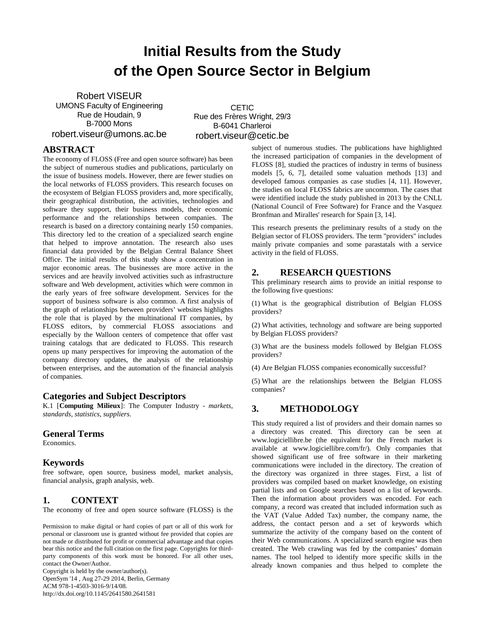# **Initial Results from the Study of the Open Source Sector in Belgium**

Robert VISEUR UMONS Faculty of Engineering Rue de Houdain, 9 B-7000 Mons robert.viseur@umons.ac.be

**CETIC** Rue des Frères Wright, 29/3 B-6041 Charleroi robert.viseur@cetic.be

## **ABSTRACT**

The economy of FLOSS (Free and open source software) has been the subject of numerous studies and publications, particularly on the issue of business models. However, there are fewer studies on the local networks of FLOSS providers. This research focuses on the ecosystem of Belgian FLOSS providers and, more specifically, their geographical distribution, the activities, technologies and software they support, their business models, their economic performance and the relationships between companies. The research is based on a directory containing nearly 150 companies. This directory led to the creation of a specialized search engine that helped to improve annotation. The research also uses financial data provided by the Belgian Central Balance Sheet Office. The initial results of this study show a concentration in major economic areas. The businesses are more active in the services and are heavily involved activities such as infrastructure software and Web development, activities which were common in the early years of free software development. Services for the support of business software is also common. A first analysis of the graph of relationships between providers' websites highlights the role that is played by the multinational IT companies, by FLOSS editors, by commercial FLOSS associations and especially by the Walloon centers of competence that offer vast training catalogs that are dedicated to FLOSS. This research opens up many perspectives for improving the automation of the company directory updates, the analysis of the relationship between enterprises, and the automation of the financial analysis of companies.

## **Categories and Subject Descriptors**

K.1 [**Computing Milieux**]: The Computer Industry - *markets, standards, statistics, suppliers*.

## **General Terms**

Economics.

## **Keywords**

free software, open source, business model, market analysis, financial analysis, graph analysis, web.

# **1. CONTEXT**

The economy of free and open source software (FLOSS) is the

Permission to make digital or hard copies of part or all of this work for personal or classroom use is granted without fee provided that copies are not made or distributed for profit or commercial advantage and that copies bear this notice and the full citation on the first page. Copyrights for thirdparty components of this work must be honored. For all other uses, contact the Owner/Author.

Copyright is held by the owner/author(s). OpenSym '14 , Aug 27-29 2014, Berlin, Germany ACM 978-1-4503-3016-9/14/08. http://dx.doi.org/10.1145/2641580.2641581

subject of numerous studies. The publications have highlighted the increased participation of companies in the development of FLOSS [8], studied the practices of industry in terms of business models [5, 6, 7], detailed some valuation methods [13] and developed famous companies as case studies [4, 11]. However, the studies on local FLOSS fabrics are uncommon. The cases that were identified include the study published in 2013 by the CNLL (National Council of Free Software) for France and the Vasquez Bronfman and Miralles' research for Spain [3, 14].

This research presents the preliminary results of a study on the Belgian sector of FLOSS providers. The term "providers" includes mainly private companies and some parastatals with a service activity in the field of FLOSS.

# **2. RESEARCH QUESTIONS**

This preliminary research aims to provide an initial response to the following five questions:

(1) What is the geographical distribution of Belgian FLOSS providers?

(2) What activities, technology and software are being supported by Belgian FLOSS providers?

(3) What are the business models followed by Belgian FLOSS providers?

(4) Are Belgian FLOSS companies economically successful?

(5) What are the relationships between the Belgian FLOSS companies?

# **3. METHODOLOGY**

This study required a list of providers and their domain names so a directory was created. This directory can be seen at www.logiciellibre.be (the equivalent for the French market is available at www.logiciellibre.com/fr/). Only companies that showed significant use of free software in their marketing communications were included in the directory. The creation of the directory was organized in three stages. First, a list of providers was compiled based on market knowledge, on existing partial lists and on Google searches based on a list of keywords. Then the information about providers was encoded. For each company, a record was created that included information such as the VAT (Value Added Tax) number, the company name, the address, the contact person and a set of keywords which summarize the activity of the company based on the content of their Web communications. A specialized search engine was then created. The Web crawling was fed by the companies' domain names. The tool helped to identify more specific skills in the already known companies and thus helped to complete the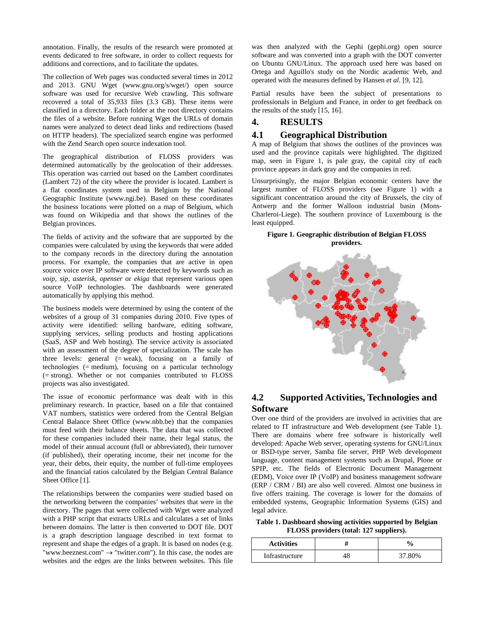annotation. Finally, the results of the research were promoted at events dedicated to free software, in order to collect requests for additions and corrections, and to facilitate the updates.

The collection of Web pages was conducted several times in 2012 and 2013. GNU Wget (www.gnu.org/s/wget/) open source software was used for recursive Web crawling. This software recovered a total of 35,933 files (3.3 GB). These items were classified in a directory. Each folder at the root directory contains the files of a website. Before running Wget the URLs of domain names were analyzed to detect dead links and redirections (based on HTTP headers). The specialized search engine was performed with the Zend Search open source indexation tool.

The geographical distribution of FLOSS providers was determined automatically by the geolocation of their addresses. This operation was carried out based on the Lambert coordinates (Lambert 72) of the city where the provider is located. Lambert is a flat coordinates system used in Belgium by the National Geographic Institute (www.ngi.be). Based on these coordinates the business locations were plotted on a map of Belgium, which was found on Wikipedia and that shows the outlines of the Belgian provinces.

The fields of activity and the software that are supported by the companies were calculated by using the keywords that were added to the company records in the directory during the annotation process. For example, the companies that are active in open source voice over IP software were detected by keywords such as *voip*, *sip*, *asterisk*, *openser* or *ekiga* that represent various open source VoIP technologies. The dashboards were generated automatically by applying this method.

The business models were determined by using the content of the websites of a group of 31 companies during 2010. Five types of activity were identified: selling hardware, editing software, supplying services, selling products and hosting applications (SaaS, ASP and Web hosting). The service activity is associated with an assessment of the degree of specialization. The scale has three levels: general  $(= weak)$ , focusing on a family of technologies (= medium), focusing on a particular technology (= strong). Whether or not companies contributed to FLOSS projects was also investigated.

The issue of economic performance was dealt with in this preliminary research. In practice, based on a file that contained VAT numbers, statistics were ordered from the Central Belgian Central Balance Sheet Office (www.nbb.be) that the companies must feed with their balance sheets. The data that was collected for these companies included their name, their legal status, the model of their annual account (full or abbreviated), their turnover (if published), their operating income, their net income for the year, their debts, their equity, the number of full-time employees and the financial ratios calculated by the Belgian Central Balance Sheet Office [1].

The relationships between the companies were studied based on the networking between the companies' websites that were in the directory. The pages that were collected with Wget were analyzed with a PHP script that extracts URLs and calculates a set of links between domains. The latter is then converted to DOT file. DOT is a graph description language described in text format to represent and shape the edges of a graph. It is based on nodes (e.g. "www.beeznest.com"  $\rightarrow$  "twitter.com"). In this case, the nodes are websites and the edges are the links between websites. This file

was then analyzed with the Gephi (gephi.org) open source software and was converted into a graph with the DOT converter on Ubuntu GNU/Linux. The approach used here was based on Ortega and Aguillo's study on the Nordic academic Web, and operated with the measures defined by Hansen *et al.* [9, 12].

Partial results have been the subject of presentations to professionals in Belgium and France, in order to get feedback on the results of the study [15, 16].

## **4. RESULTS**

## **4.1 Geographical Distribution**

A map of Belgium that shows the outlines of the provinces was used and the province capitals were highlighted. The digitized map, seen in Figure 1, is pale gray, the capital city of each province appears in dark gray and the companies in red.

Unsurprisingly, the major Belgian economic centers have the largest number of FLOSS providers (see Figure 1) with a significant concentration around the city of Brussels, the city of Antwerp and the former Walloon industrial basin (Mons-Charleroi-Liege). The southern province of Luxembourg is the least equipped.

#### **Figure 1. Geographic distribution of Belgian FLOSS providers.**



# **4.2 Supported Activities, Technologies and Software**

Over one third of the providers are involved in activities that are related to IT infrastructure and Web development (see Table 1). There are domains where free software is historically well developed: Apache Web server, operating systems for GNU/Linux or BSD-type server, Samba file server, PHP Web development language, content management systems such as Drupal, Plone or SPIP, etc. The fields of Electronic Document Management (EDM), Voice over IP (VoIP) and business management software (ERP / CRM / BI) are also well covered. Almost one business in five offers training. The coverage is lower for the domains of embedded systems, Geographic Information Systems (GIS) and legal advice.

**Table 1. Dashboard showing activities supported by Belgian FLOSS providers (total: 127 suppliers).**

| <b>Activities</b> | $\frac{0}{6}$ |
|-------------------|---------------|
| Infrastructure    | 37.80%        |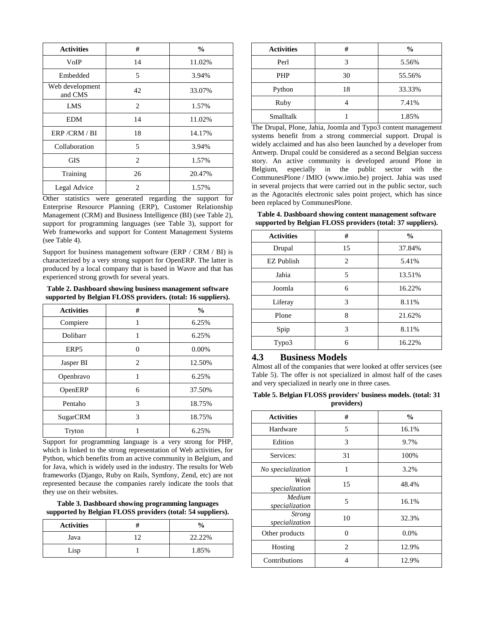| <b>Activities</b>          | #                             | $\frac{6}{9}$ |
|----------------------------|-------------------------------|---------------|
| VoIP                       | 14                            | 11.02%        |
| Embedded                   | 5                             | 3.94%         |
| Web development<br>and CMS | 42                            | 33.07%        |
| LMS                        | $\mathfrak{D}_{\mathfrak{p}}$ | 1.57%         |
| <b>EDM</b>                 | 14                            | 11.02%        |
| ERP/CRM/BI                 | 18                            | 14.17%        |
| Collaboration              | 5                             | 3.94%         |
| <b>GIS</b>                 | $\overline{c}$                | 1.57%         |
| Training                   | 26                            | 20.47%        |
| Legal Advice               | 2                             | 1.57%         |

Other statistics were generated regarding the support for Enterprise Resource Planning (ERP), Customer Relationship Management (CRM) and Business Intelligence (BI) (see Table 2), support for programming languages (see Table 3), support for Web frameworks and support for Content Management Systems (see Table 4).

Support for business management software (ERP / CRM / BI) is characterized by a very strong support for OpenERP. The latter is produced by a local company that is based in Wavre and that has experienced strong growth for several years.

**Table 2. Dashboard showing business management software supported by Belgian FLOSS providers. (total: 16 suppliers).**

| <b>Activities</b> | #                           | $\frac{0}{0}$ |
|-------------------|-----------------------------|---------------|
| Compiere          | 1                           | 6.25%         |
| Dolibarr          | 1                           | 6.25%         |
| ERP <sub>5</sub>  | $\Omega$                    | $0.00\%$      |
| Jasper BI         | $\mathcal{D}_{\mathcal{L}}$ | 12.50%        |
| Openbravo         |                             | 6.25%         |
| OpenERP           | 6                           | 37.50%        |
| Pentaho           | 3                           | 18.75%        |
| SugarCRM          | 3                           | 18.75%        |
| Tryton            |                             | 6.25%         |

Support for programming language is a very strong for PHP, which is linked to the strong representation of Web activities, for Python, which benefits from an active community in Belgium, and for Java, which is widely used in the industry. The results for Web frameworks (Django, Ruby on Rails, Symfony, Zend, etc) are not represented because the companies rarely indicate the tools that they use on their websites.

**Table 3. Dashboard showing programming languages supported by Belgian FLOSS providers (total: 54 suppliers).**

| <b>Activities</b> | $\frac{0}{0}$ |
|-------------------|---------------|
| Java              | 22.22%        |
| Lisp              | 1.85%         |

| <b>Activities</b> | #  | $\frac{6}{9}$ |
|-------------------|----|---------------|
| Perl              | 3  | 5.56%         |
| <b>PHP</b>        | 30 | 55.56%        |
| Python            | 18 | 33.33%        |
| Ruby              |    | 7.41%         |
| Smalltalk         |    | 1.85%         |

The Drupal, Plone, Jahia, Joomla and Typo3 content management systems benefit from a strong commercial support. Drupal is widely acclaimed and has also been launched by a developer from Antwerp. Drupal could be considered as a second Belgian success story. An active community is developed around Plone in Belgium, especially in the public sector with the CommunesPlone / IMIO (www.imio.be) project. Jahia was used in several projects that were carried out in the public sector, such as the Agoracités electronic sales point project, which has since been replaced by CommunesPlone.

**Table 4. Dashboard showing content management software supported by Belgian FLOSS providers (total: 37 suppliers).**

| <b>Activities</b> | #                             | $\frac{0}{0}$ |
|-------------------|-------------------------------|---------------|
| Drupal            | 15                            | 37.84%        |
| <b>EZ</b> Publish | $\mathfrak{D}_{\mathfrak{p}}$ | 5.41%         |
| Jahia             | 5                             | 13.51%        |
| Joomla            | 6                             | 16.22%        |
| Liferay           | 3                             | 8.11%         |
| Plone             | 8                             | 21.62%        |
| Spip              | 3                             | 8.11%         |
| Typo3             | 6                             | 16.22%        |

## **4.3 Business Models**

Almost all of the companies that were looked at offer services (see Table 5). The offer is not specialized in almost half of the cases and very specialized in nearly one in three cases.

**Table 5. Belgian FLOSS providers' business models. (total: 31** 

| providers) |  |  |
|------------|--|--|
|            |  |  |

| <b>Activities</b>               | #              | $\frac{0}{0}$ |
|---------------------------------|----------------|---------------|
| Hardware                        | 5              | 16.1%         |
| Edition                         | 3              | 9.7%          |
| Services:                       | 31             | 100%          |
| No specialization               | 1              | 3.2%          |
| Weak<br>specialization          | 15             | 48.4%         |
| Medium<br>specialization        | 5              | 16.1%         |
| <b>Strong</b><br>specialization | 10             | 32.3%         |
| Other products                  | $\Omega$       | $0.0\%$       |
| Hosting                         | $\overline{c}$ | 12.9%         |
| Contributions                   | 4              | 12.9%         |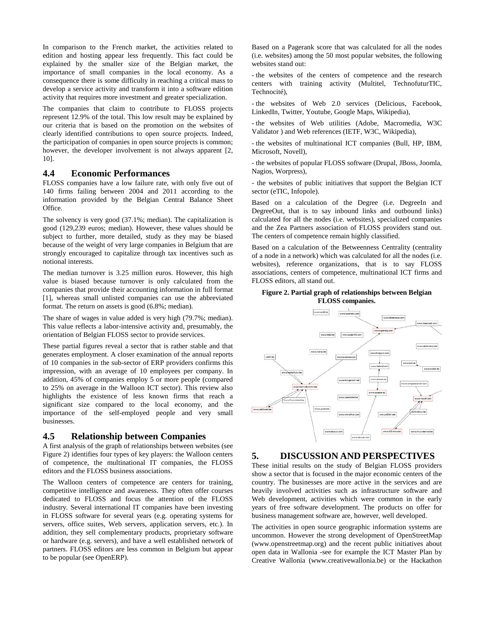In comparison to the French market, the activities related to edition and hosting appear less frequently. This fact could be explained by the smaller size of the Belgian market, the importance of small companies in the local economy. As a consequence there is some difficulty in reaching a critical mass to develop a service activity and transform it into a software edition activity that requires more investment and greater specialization.

The companies that claim to contribute to FLOSS projects represent 12.9% of the total. This low result may be explained by our criteria that is based on the promotion on the websites of clearly identified contributions to open source projects. Indeed, the participation of companies in open source projects is common; however, the developer involvement is not always apparent [2, 10].

## **4.4 Economic Performances**

FLOSS companies have a low failure rate, with only five out of 140 firms failing between 2004 and 2011 according to the information provided by the Belgian Central Balance Sheet Office.

The solvency is very good (37.1%; median). The capitalization is good (129,239 euros; median). However, these values should be subject to further, more detailed, study as they may be biased because of the weight of very large companies in Belgium that are strongly encouraged to capitalize through tax incentives such as notional interests.

The median turnover is 3.25 million euros. However, this high value is biased because turnover is only calculated from the companies that provide their accounting information in full format [1], whereas small unlisted companies can use the abbreviated format. The return on assets is good (6.8%; median).

The share of wages in value added is very high (79.7%; median). This value reflects a labor-intensive activity and, presumably, the orientation of Belgian FLOSS sector to provide services.

These partial figures reveal a sector that is rather stable and that generates employment. A closer examination of the annual reports of 10 companies in the sub-sector of ERP providers confirms this impression, with an average of 10 employees per company. In addition, 45% of companies employ 5 or more people (compared to 25% on average in the Walloon ICT sector). This review also highlights the existence of less known firms that reach a significant size compared to the local economy, and the importance of the self-employed people and very small businesses.

#### **4.5 Relationship between Companies**

A first analysis of the graph of relationships between websites (see Figure 2) identifies four types of key players: the Walloon centers of competence, the multinational IT companies, the FLOSS editors and the FLOSS business associations.

The Walloon centers of competence are centers for training, competitive intelligence and awareness. They often offer courses dedicated to FLOSS and focus the attention of the FLOSS industry. Several international IT companies have been investing in FLOSS software for several years (e.g. operating systems for servers, office suites, Web servers, application servers, etc.). In addition, they sell complementary products, proprietary software or hardware (e.g. servers), and have a well established network of partners. FLOSS editors are less common in Belgium but appear to be popular (see OpenERP).

Based on a Pagerank score that was calculated for all the nodes (i.e. websites) among the 50 most popular websites, the following websites stand out:

- the websites of the centers of competence and the research centers with training activity (Multitel, TechnofuturTIC, Technocité),

- the websites of Web 2.0 services (Delicious, Facebook, LinkedIn, Twitter, Youtube, Google Maps, Wikipedia),

- the websites of Web utilities (Adobe, Macromedia, W3C Validator ) and Web references (IETF, W3C, Wikipedia),

- the websites of multinational ICT companies (Bull, HP, IBM, Microsoft, Novell),

- the websites of popular FLOSS software (Drupal, JBoss, Joomla, Nagios, Worpress),

- the websites of public initiatives that support the Belgian ICT sector (eTIC, Infopole).

Based on a calculation of the Degree (i.e. DegreeIn and DegreeOut, that is to say inbound links and outbound links) calculated for all the nodes (i.e. websites), specialized companies and the Zea Partners association of FLOSS providers stand out. The centers of competence remain highly classified.

Based on a calculation of the Betweenness Centrality (centrality of a node in a network) which was calculated for all the nodes (i.e. websites), reference organizations, that is to say FLOSS associations, centers of competence, multinational ICT firms and FLOSS editors, all stand out.

#### **Figure 2. Partial graph of relationships between Belgian FLOSS companies.**



## **5. DISCUSSION AND PERSPECTIVES**

These initial results on the study of Belgian FLOSS providers show a sector that is focused in the major economic centers of the country. The businesses are more active in the services and are heavily involved activities such as infrastructure software and Web development, activities which were common in the early years of free software development. The products on offer for business management software are, however, well developed.

The activities in open source geographic information systems are uncommon. However the strong development of OpenStreetMap (www.openstreetmap.org) and the recent public initiatives about open data in Wallonia -see for example the ICT Master Plan by Creative Wallonia (www.creativewallonia.be) or the Hackathon